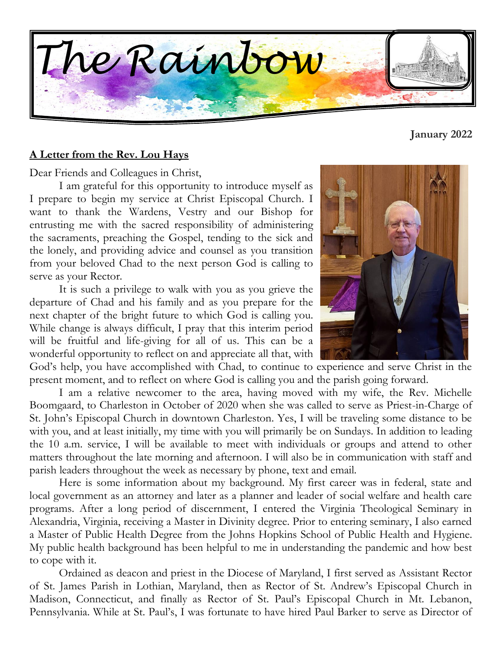

#### **A Letter from the Rev. Lou Hays**

Dear Friends and Colleagues in Christ,

I am grateful for this opportunity to introduce myself as I prepare to begin my service at Christ Episcopal Church. I want to thank the Wardens, Vestry and our Bishop for entrusting me with the sacred responsibility of administering the sacraments, preaching the Gospel, tending to the sick and the lonely, and providing advice and counsel as you transition from your beloved Chad to the next person God is calling to serve as your Rector.

It is such a privilege to walk with you as you grieve the departure of Chad and his family and as you prepare for the next chapter of the bright future to which God is calling you. While change is always difficult, I pray that this interim period will be fruitful and life-giving for all of us. This can be a wonderful opportunity to reflect on and appreciate all that, with

God's help, you have accomplished with Chad, to continue to experience and serve Christ in the present moment, and to reflect on where God is calling you and the parish going forward.

I am a relative newcomer to the area, having moved with my wife, the Rev. Michelle Boomgaard, to Charleston in October of 2020 when she was called to serve as Priest-in-Charge of St. John's Episcopal Church in downtown Charleston. Yes, I will be traveling some distance to be with you, and at least initially, my time with you will primarily be on Sundays. In addition to leading the 10 a.m. service, I will be available to meet with individuals or groups and attend to other matters throughout the late morning and afternoon. I will also be in communication with staff and parish leaders throughout the week as necessary by phone, text and email.

Here is some information about my background. My first career was in federal, state and local government as an attorney and later as a planner and leader of social welfare and health care programs. After a long period of discernment, I entered the Virginia Theological Seminary in Alexandria, Virginia, receiving a Master in Divinity degree. Prior to entering seminary, I also earned a Master of Public Health Degree from the Johns Hopkins School of Public Health and Hygiene. My public health background has been helpful to me in understanding the pandemic and how best to cope with it.

Ordained as deacon and priest in the Diocese of Maryland, I first served as Assistant Rector of St. James Parish in Lothian, Maryland, then as Rector of St. Andrew's Episcopal Church in Madison, Connecticut, and finally as Rector of St. Paul's Episcopal Church in Mt. Lebanon, Pennsylvania. While at St. Paul's, I was fortunate to have hired Paul Barker to serve as Director of



**January 2022**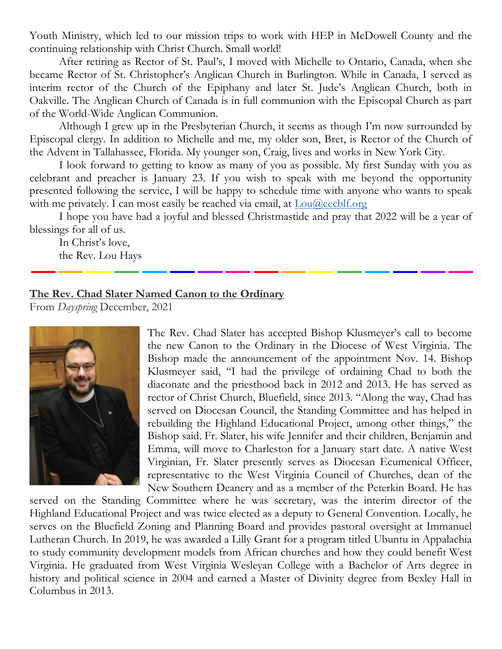Youth Ministry, which led to our mission trips to work with HEP in McDowell County and the continuing relationship with Christ Church. Small world!

After retiring as Rector of St. Paul's, I moved with Michelle to Ontario, Canada, when she became Rector of St. Christopher's Anglican Church in Burlington. While in Canada, I served as interim rector of the Church of the Epiphany and later St. Jude's Anglican Church, both in Oakville. The Anglican Church of Canada is in full communion with the Episcopal Church as part of the World-Wide Anglican Communion.

Although I grew up in the Presbyterian Church, it seems as though I'm now surrounded by Episcopal clergy. In addition to Michelle and me, my older son, Bret, is Rector of the Church of the Advent in Tallahassee, Florida. My younger son, Craig, lives and works in New York City.

I look forward to getting to know as many of you as possible. My first Sunday with you as celebrant and preacher is January 23. If you wish to speak with me beyond the opportunity presented following the service, I will be happy to schedule time with anyone who wants to speak with me privately. I can most easily be reached via email, at  $\text{Lou}(a)$  cecblf.org

I hope you have had a joyful and blessed Christmastide and pray that 2022 will be a year of blessings for all of us.

In Christ's love, the Rev. Lou Hays

#### **The Rev. Chad Slater Named Canon to the Ordinary**

From *Dayspring* December, 2021



The Rev. Chad Slater has accepted Bishop Klusmeyer's call to become the new Canon to the Ordinary in the Diocese of West Virginia. The Bishop made the announcement of the appointment Nov. 14. Bishop Klusmeyer said, "I had the privilege of ordaining Chad to both the diaconate and the priesthood back in 2012 and 2013. He has served as rector of Christ Church, Bluefield, since 2013. "Along the way, Chad has served on Diocesan Council, the Standing Committee and has helped in rebuilding the Highland Educational Project, among other things," the Bishop said. Fr. Slater, his wife Jennifer and their children, Benjamin and Emma, will move to Charleston for a January start date. A native West Virginian, Fr. Slater presently serves as Diocesan Ecumenical Officer, representative to the West Virginia Council of Churches, dean of the New Southern Deanery and as a member of the Peterkin Board. He has

served on the Standing Committee where he was secretary, was the interim director of the Highland Educational Project and was twice elected as a deputy to General Convention. Locally, he serves on the Bluefield Zoning and Planning Board and provides pastoral oversight at Immanuel Lutheran Church. In 2019, he was awarded a Lilly Grant for a program titled Ubuntu in Appalachia to study community development models from African churches and how they could benefit West Virginia. He graduated from West Virginia Wesleyan College with a Bachelor of Arts degree in history and political science in 2004 and earned a Master of Divinity degree from Bexley Hall in Columbus in 2013.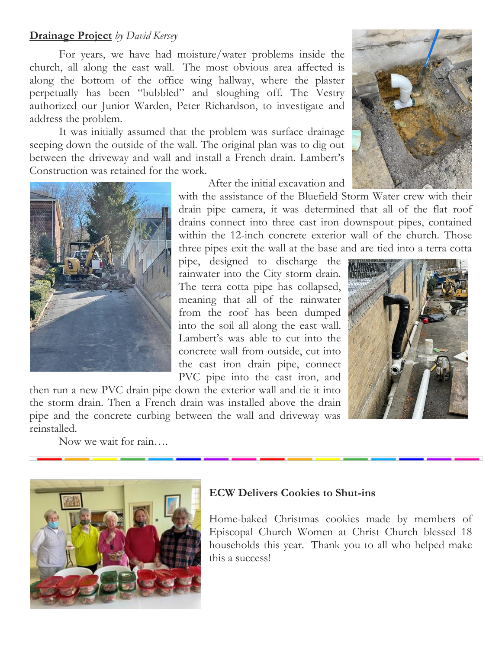### **Drainage Project** *by David Kersey*

For years, we have had moisture/water problems inside the church, all along the east wall. The most obvious area affected is along the bottom of the office wing hallway, where the plaster perpetually has been "bubbled" and sloughing off. The Vestry authorized our Junior Warden, Peter Richardson, to investigate and address the problem.

It was initially assumed that the problem was surface drainage seeping down the outside of the wall. The original plan was to dig out between the driveway and wall and install a French drain. Lambert's Construction was retained for the work.



After the initial excavation and

with the assistance of the Bluefield Storm Water crew with their drain pipe camera, it was determined that all of the flat roof drains connect into three cast iron downspout pipes, contained within the 12-inch concrete exterior wall of the church. Those three pipes exit the wall at the base and are tied into a terra cotta

pipe, designed to discharge the rainwater into the City storm drain. The terra cotta pipe has collapsed, meaning that all of the rainwater from the roof has been dumped into the soil all along the east wall. Lambert's was able to cut into the concrete wall from outside, cut into the cast iron drain pipe, connect PVC pipe into the cast iron, and

then run a new PVC drain pipe down the exterior wall and tie it into the storm drain. Then a French drain was installed above the drain pipe and the concrete curbing between the wall and driveway was reinstalled.

Now we wait for rain….



### **ECW Delivers Cookies to Shut-ins**

Home-baked Christmas cookies made by members of Episcopal Church Women at Christ Church blessed 18 households this year. Thank you to all who helped make this a success!



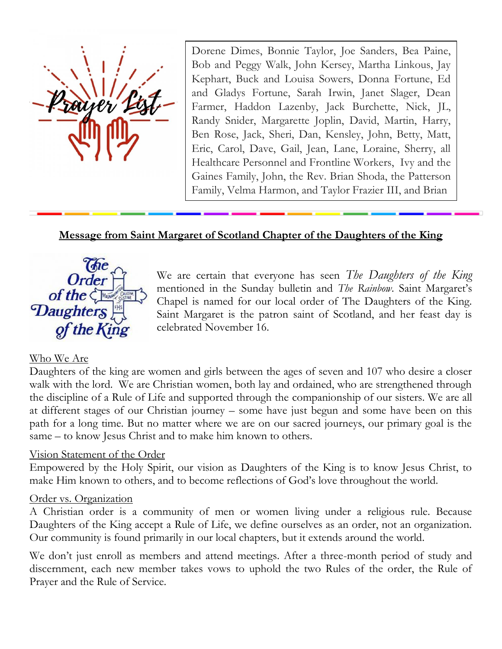

Dorene Dimes, Bonnie Taylor, Joe Sanders, Bea Paine, Bob and Peggy Walk, John Kersey, Martha Linkous, Jay Kephart, Buck and Louisa Sowers, Donna Fortune, Ed and Gladys Fortune, Sarah Irwin, Janet Slager, Dean Farmer, Haddon Lazenby, Jack Burchette, Nick, JL, Randy Snider, Margarette Joplin, David, Martin, Harry, Ben Rose, Jack, Sheri, Dan, Kensley, John, Betty, Matt, Eric, Carol, Dave, Gail, Jean, Lane, Loraine, Sherry, all Healthcare Personnel and Frontline Workers, Ivy and the Gaines Family, John, the Rev. Brian Shoda, the Patterson Family, Velma Harmon, and Taylor Frazier III, and Brian

## **Message from Saint Margaret of Scotland Chapter of the Daughters of the King**



We are certain that everyone has seen *The Daughters of the King* mentioned in the Sunday bulletin and *The Rainbow*. Saint Margaret's Chapel is named for our local order of The Daughters of the King. Saint Margaret is the patron saint of Scotland, and her feast day is celebrated November 16.

### Who We Are

Daughters of the king are women and girls between the ages of seven and 107 who desire a closer walk with the lord. We are Christian women, both lay and ordained, who are strengthened through the discipline of a Rule of Life and supported through the companionship of our sisters. We are all at different stages of our Christian journey – some have just begun and some have been on this path for a long time. But no matter where we are on our sacred journeys, our primary goal is the same – to know Jesus Christ and to make him known to others.

#### Vision Statement of the Order

Empowered by the Holy Spirit, our vision as Daughters of the King is to know Jesus Christ, to make Him known to others, and to become reflections of God's love throughout the world.

#### Order vs. Organization

A Christian order is a community of men or women living under a religious rule. Because Daughters of the King accept a Rule of Life, we define ourselves as an order, not an organization. Our community is found primarily in our local chapters, but it extends around the world.

We don't just enroll as members and attend meetings. After a three-month period of study and discernment, each new member takes vows to uphold the two Rules of the order, the Rule of Prayer and the Rule of Service.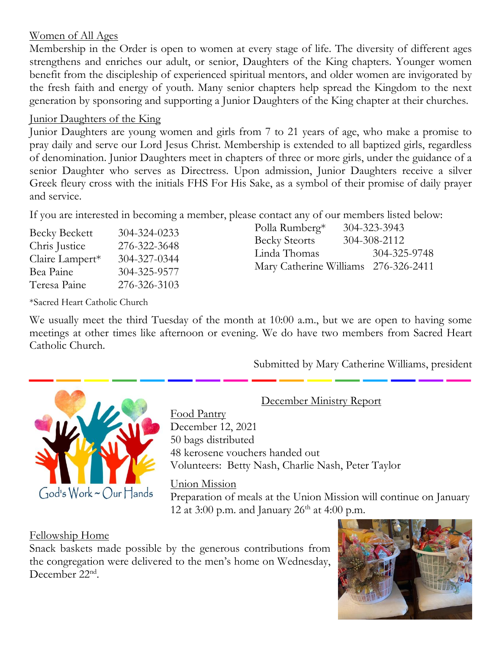# Women of All Ages

Membership in the Order is open to women at every stage of life. The diversity of different ages strengthens and enriches our adult, or senior, Daughters of the King chapters. Younger women benefit from the discipleship of experienced spiritual mentors, and older women are invigorated by the fresh faith and energy of youth. Many senior chapters help spread the Kingdom to the next generation by sponsoring and supporting a Junior Daughters of the King chapter at their churches.

# Junior Daughters of the King

Junior Daughters are young women and girls from 7 to 21 years of age, who make a promise to pray daily and serve our Lord Jesus Christ. Membership is extended to all baptized girls, regardless of denomination. Junior Daughters meet in chapters of three or more girls, under the guidance of a senior Daughter who serves as Directress. Upon admission, Junior Daughters receive a silver Greek fleury cross with the initials FHS For His Sake, as a symbol of their promise of daily prayer and service.

If you are interested in becoming a member, please contact any of our members listed below:

| <b>Becky Beckett</b> | 304-324-0233 |
|----------------------|--------------|
| Chris Justice        | 276-322-3648 |
| Claire Lampert*      | 304-327-0344 |
| Bea Paine            | 304-325-9577 |
| Teresa Paine         | 276-326-3103 |

\*Sacred Heart Catholic Church

Becky Steorts 304-308-2112 Linda Thomas 304-325-9748 Mary Catherine Williams 276-326-2411

Polla Rumberg\* 304-323-3943

We usually meet the third Tuesday of the month at 10:00 a.m., but we are open to having some meetings at other times like afternoon or evening. We do have two members from Sacred Heart Catholic Church.

Submitted by Mary Catherine Williams, president



December Ministry Report

Food Pantry December 12, 2021 50 bags distributed 48 kerosene vouchers handed out Volunteers: Betty Nash, Charlie Nash, Peter Taylor

# Union Mission

Preparation of meals at the Union Mission will continue on January 12 at 3:00 p.m. and January  $26<sup>th</sup>$  at 4:00 p.m.

# Fellowship Home

Snack baskets made possible by the generous contributions from the congregation were delivered to the men's home on Wednesday, December 22<sup>nd</sup>.

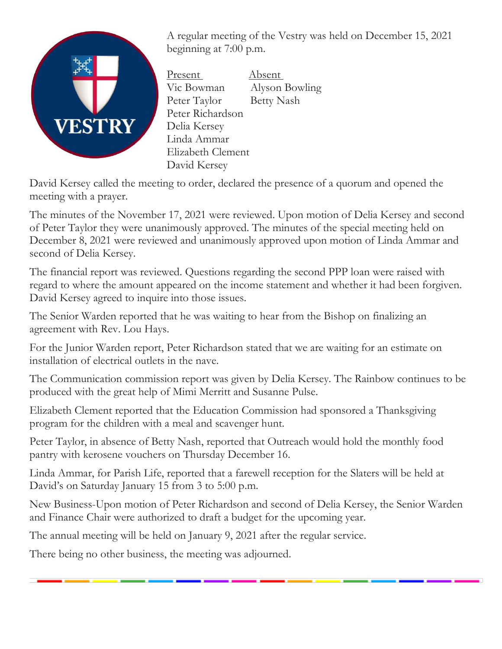

A regular meeting of the Vestry was held on December 15, 2021 beginning at 7:00 p.m.

Present Absent Vic Bowman Alyson Bowling Peter Taylor Betty Nash Peter Richardson Delia Kersey Linda Ammar Elizabeth Clement David Kersey

David Kersey called the meeting to order, declared the presence of a quorum and opened the meeting with a prayer.

The minutes of the November 17, 2021 were reviewed. Upon motion of Delia Kersey and second of Peter Taylor they were unanimously approved. The minutes of the special meeting held on December 8, 2021 were reviewed and unanimously approved upon motion of Linda Ammar and second of Delia Kersey.

The financial report was reviewed. Questions regarding the second PPP loan were raised with regard to where the amount appeared on the income statement and whether it had been forgiven. David Kersey agreed to inquire into those issues.

The Senior Warden reported that he was waiting to hear from the Bishop on finalizing an agreement with Rev. Lou Hays.

For the Junior Warden report, Peter Richardson stated that we are waiting for an estimate on installation of electrical outlets in the nave.

The Communication commission report was given by Delia Kersey. The Rainbow continues to be produced with the great help of Mimi Merritt and Susanne Pulse.

Elizabeth Clement reported that the Education Commission had sponsored a Thanksgiving program for the children with a meal and scavenger hunt.

Peter Taylor, in absence of Betty Nash, reported that Outreach would hold the monthly food pantry with kerosene vouchers on Thursday December 16.

Linda Ammar, for Parish Life, reported that a farewell reception for the Slaters will be held at David's on Saturday January 15 from 3 to 5:00 p.m.

New Business-Upon motion of Peter Richardson and second of Delia Kersey, the Senior Warden and Finance Chair were authorized to draft a budget for the upcoming year.

The annual meeting will be held on January 9, 2021 after the regular service.

There being no other business, the meeting was adjourned.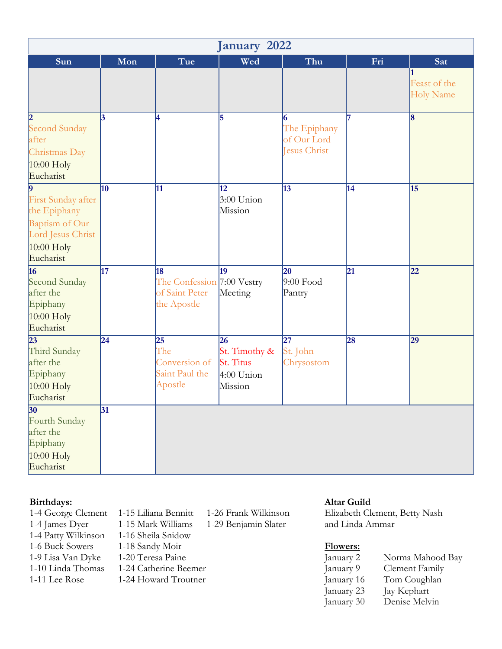| January 2022                                                                                                        |                 |                                                                      |                                                                    |                                                  |                 |                                  |
|---------------------------------------------------------------------------------------------------------------------|-----------------|----------------------------------------------------------------------|--------------------------------------------------------------------|--------------------------------------------------|-----------------|----------------------------------|
| Sun                                                                                                                 | Mon             | Tue                                                                  | Wed                                                                | Thu                                              | Fri             | Sat                              |
|                                                                                                                     |                 |                                                                      |                                                                    |                                                  |                 | Feast of the<br><b>Holy Name</b> |
| 2 <br>Second Sunday<br>after<br>Christmas Day<br>$10:00$ Holy<br>Eucharist                                          | 3               | 4                                                                    | 5                                                                  | 6<br>The Epiphany<br>of Our Lord<br>Jesus Christ | 17              | $\vert 8$                        |
| $\vert$ 9<br>First Sunday after<br>the Epiphany<br>Baptism of Our<br>Lord Jesus Christ<br>$10:00$ Holy<br>Eucharist | $\overline{10}$ | 11                                                                   | $\overline{12}$<br>$3:00$ Union<br>Mission                         | $\overline{13}$                                  | $\overline{14}$ | $\overline{15}$                  |
| 16<br>Second Sunday<br>after the<br>Epiphany<br>$10:00$ Holy<br>Eucharist                                           | 17              | 18<br>The Confession 7:00 Vestry<br>of Saint Peter<br>the Apostle    | 19<br>Meeting                                                      | 20<br>$9:00$ Food<br>Pantry                      | 21              | 22                               |
| $\overline{23}$<br>Third Sunday<br>after the<br>Epiphany<br>$10:00$ Holy<br>Eucharist                               | 24              | $\overline{25}$<br>The<br>Conversion of<br>Saint Paul the<br>Apostle | 26<br>St. Timothy &<br><b>St. Titus</b><br>$4:00$ Union<br>Mission | $\overline{27}$<br>St. John<br>Chrysostom        | 28              | $\overline{29}$                  |
| 30<br>Fourth Sunday<br>after the<br>Epiphany<br>$10:00$ Holy<br>Eucharist                                           | $\overline{31}$ |                                                                      |                                                                    |                                                  |                 |                                  |

- 1-4 Patty Wilkinson 1-16 Sheila Snidow 1-9 Lisa Van Dyke 1-20 Teresa Paine J<br>1-10 Linda Thomas 1-24 Catherine Beemer J<br>1-11 Lee Rose 1-24 Howard Troutner J<br>J<br>J
	-
- 1-15 Mark Williams 1-29 Benjamin Slater and Linda Ammar 1-6 Buck Sowers 1-18 Sandy Moir **Flowers:** 1-24 Catherine Beemer
- 1-11 Lee Rose 1-24 Howard Troutner

**Birthdays: Altar Guild**

1-4 George Clement 1-15 Liliana Bennitt 1-26 Frank Wilkinson Elizabeth Clement, Betty Nash<br>1-4 James Dyer 1-15 Mark Williams 1-29 Benjamin Slater and Linda Ammar

| January 2  | Norma Mahood Bay |
|------------|------------------|
| January 9  | Clement Family   |
| January 16 | Tom Coughlan     |
| January 23 | Jay Kephart      |
| January 30 | Denise Melvin    |